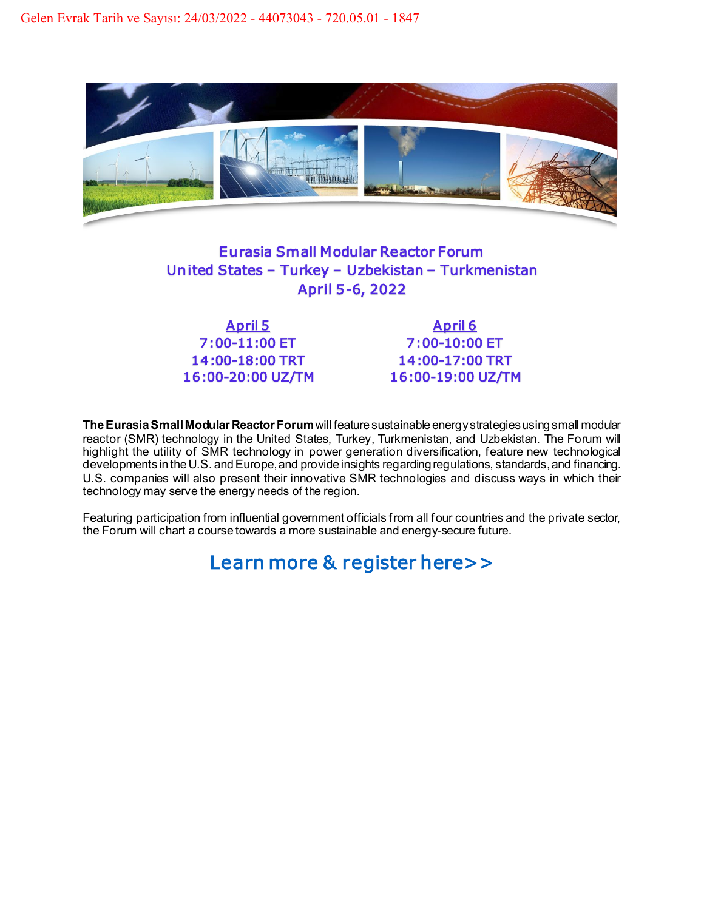

## Eurasia Small Modular Reactor Forum United States – Turkey – Uzbekistan – Turkmenistan April 5-6, 2022

7:00-11:00 ET 7:00-10:00 ET

April 5 April 6 14:00-18:00 TRT 14:00-17:00 TRT 16:00-20:00 UZ/TM 16:00-19:00 UZ/TM

**The Eurasia Small Modular Reactor Forum**will feature sustainable energy strategies using small modular reactor (SMR) technology in the United States, Turkey, Turkmenistan, and Uzbekistan. The Forum will highlight the utility of SMR technology in power generation diversification, feature new technological developments in the U.S. and Europe, and provide insights regarding regulations, standards, and financing. U.S. companies will also present their innovative SMR technologies and discuss ways in which their technology may serve the energy needs of the region.

Featuring participation from influential government officials from all four countries and the private sector, the Forum will chart a course towards a more sustainable and energy-secure future.

Learn more & register here>>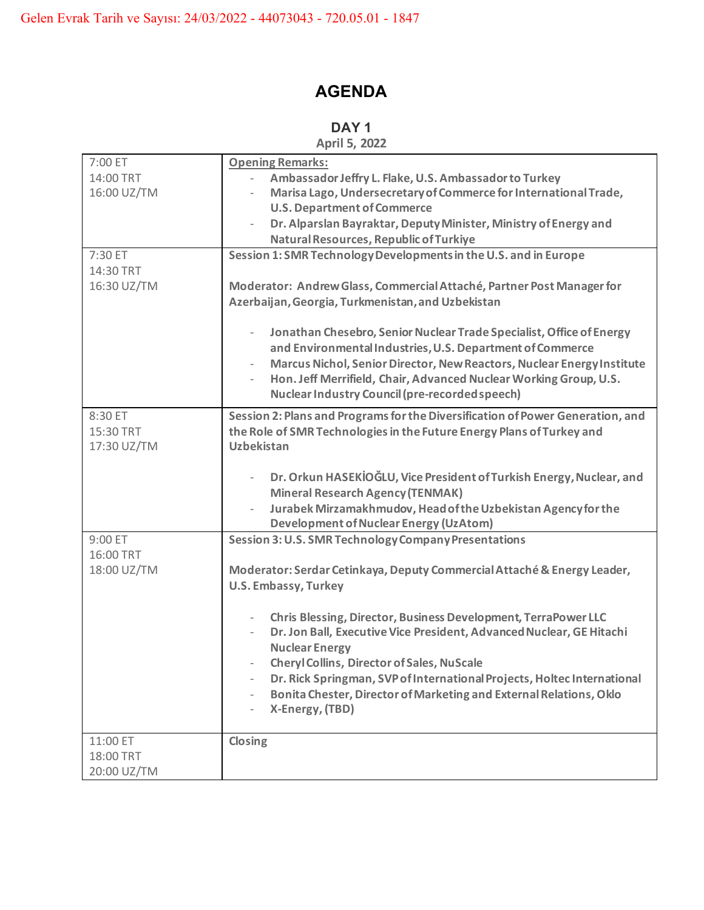## **AGENDA**

## **DAY 1**

| April 5, 2022 |  |  |
|---------------|--|--|
|---------------|--|--|

| 7:00 ET     | <b>Opening Remarks:</b>                                                                             |
|-------------|-----------------------------------------------------------------------------------------------------|
| 14:00 TRT   | Ambassador Jeffry L. Flake, U.S. Ambassador to Turkey                                               |
| 16:00 UZ/TM | Marisa Lago, Undersecretary of Commerce for International Trade,                                    |
|             | <b>U.S. Department of Commerce</b>                                                                  |
|             | Dr. Alparslan Bayraktar, Deputy Minister, Ministry of Energy and<br>$\overline{\phantom{0}}$        |
|             | Natural Resources, Republic of Turkiye                                                              |
| 7:30 ET     | Session 1: SMR Technology Developments in the U.S. and in Europe                                    |
| 14:30 TRT   |                                                                                                     |
| 16:30 UZ/TM | Moderator: Andrew Glass, Commercial Attaché, Partner Post Manager for                               |
|             | Azerbaijan, Georgia, Turkmenistan, and Uzbekistan                                                   |
|             |                                                                                                     |
|             | Jonathan Chesebro, Senior Nuclear Trade Specialist, Office of Energy<br>$\qquad \qquad -$           |
|             | and Environmental Industries, U.S. Department of Commerce                                           |
|             | Marcus Nichol, Senior Director, New Reactors, Nuclear Energy Institute<br>$\overline{\phantom{a}}$  |
|             | Hon. Jeff Merrifield, Chair, Advanced Nuclear Working Group, U.S.                                   |
|             | <b>Nuclear Industry Council (pre-recorded speech)</b>                                               |
| 8:30 ET     | Session 2: Plans and Programs for the Diversification of Power Generation, and                      |
| 15:30 TRT   | the Role of SMR Technologies in the Future Energy Plans of Turkey and                               |
| 17:30 UZ/TM | <b>Uzbekistan</b>                                                                                   |
|             |                                                                                                     |
|             | Dr. Orkun HASEKİOĞLU, Vice President of Turkish Energy, Nuclear, and                                |
|             | <b>Mineral Research Agency (TENMAK)</b>                                                             |
|             | Jurabek Mirzamakhmudov, Head of the Uzbekistan Agency for the                                       |
|             | <b>Development of Nuclear Energy (UzAtom)</b>                                                       |
| 9:00 ET     | Session 3: U.S. SMR Technology Company Presentations                                                |
| 16:00 TRT   |                                                                                                     |
| 18:00 UZ/TM | Moderator: Serdar Cetinkaya, Deputy Commercial Attaché & Energy Leader,                             |
|             | <b>U.S. Embassy, Turkey</b>                                                                         |
|             |                                                                                                     |
|             | Chris Blessing, Director, Business Development, TerraPower LLC                                      |
|             | Dr. Jon Ball, Executive Vice President, Advanced Nuclear, GE Hitachi                                |
|             | <b>Nuclear Energy</b>                                                                               |
|             | <b>Cheryl Collins, Director of Sales, NuScale</b>                                                   |
|             | Dr. Rick Springman, SVP of International Projects, Holtec International<br>$\overline{\phantom{a}}$ |
|             | Bonita Chester, Director of Marketing and External Relations, Oklo                                  |
|             | X-Energy, (TBD)                                                                                     |
|             |                                                                                                     |
| 11:00 ET    | Closing                                                                                             |
| 18:00 TRT   |                                                                                                     |
| 20:00 UZ/TM |                                                                                                     |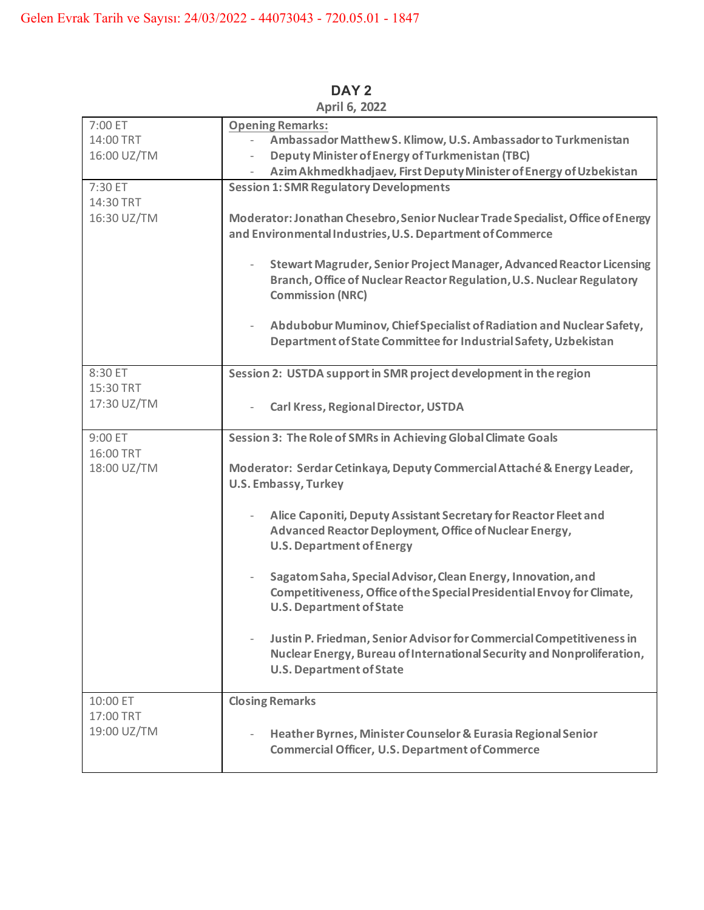| 7:00 ET<br>14:00 TRT<br>16:00 UZ/TM  | <b>Opening Remarks:</b><br>Ambassador Matthew S. Klimow, U.S. Ambassador to Turkmenistan<br>$\overline{\phantom{0}}$<br><b>Deputy Minister of Energy of Turkmenistan (TBC)</b>                                                                                                                                                                                                                                                                                                                                                                                                                                                                                                                              |
|--------------------------------------|-------------------------------------------------------------------------------------------------------------------------------------------------------------------------------------------------------------------------------------------------------------------------------------------------------------------------------------------------------------------------------------------------------------------------------------------------------------------------------------------------------------------------------------------------------------------------------------------------------------------------------------------------------------------------------------------------------------|
| 7:30 ET<br>14:30 TRT<br>16:30 UZ/TM  | Azim Akhmedkhadjaev, First Deputy Minister of Energy of Uzbekistan<br><b>Session 1: SMR Regulatory Developments</b><br>Moderator: Jonathan Chesebro, Senior Nuclear Trade Specialist, Office of Energy<br>and Environmental Industries, U.S. Department of Commerce<br>Stewart Magruder, Senior Project Manager, Advanced Reactor Licensing<br>Branch, Office of Nuclear Reactor Regulation, U.S. Nuclear Regulatory<br><b>Commission (NRC)</b><br>Abdubobur Muminov, Chief Specialist of Radiation and Nuclear Safety,<br>Department of State Committee for Industrial Safety, Uzbekistan                                                                                                                  |
| 8:30 ET<br>15:30 TRT<br>17:30 UZ/TM  | Session 2: USTDA support in SMR project development in the region<br>Carl Kress, Regional Director, USTDA                                                                                                                                                                                                                                                                                                                                                                                                                                                                                                                                                                                                   |
| 9:00 ET<br>16:00 TRT<br>18:00 UZ/TM  | Session 3: The Role of SMRs in Achieving Global Climate Goals<br>Moderator: Serdar Cetinkaya, Deputy Commercial Attaché & Energy Leader,<br><b>U.S. Embassy, Turkey</b><br>Alice Caponiti, Deputy Assistant Secretary for Reactor Fleet and<br>Advanced Reactor Deployment, Office of Nuclear Energy,<br><b>U.S. Department of Energy</b><br>Sagatom Saha, Special Advisor, Clean Energy, Innovation, and<br>Competitiveness, Office of the Special Presidential Envoy for Climate,<br><b>U.S. Department of State</b><br>Justin P. Friedman, Senior Advisor for Commercial Competitiveness in<br>Nuclear Energy, Bureau of International Security and Nonproliferation,<br><b>U.S. Department of State</b> |
| 10:00 ET<br>17:00 TRT<br>19:00 UZ/TM | <b>Closing Remarks</b><br>Heather Byrnes, Minister Counselor & Eurasia Regional Senior<br><b>Commercial Officer, U.S. Department of Commerce</b>                                                                                                                                                                                                                                                                                                                                                                                                                                                                                                                                                            |

**DAY 2 April 6, 2022**